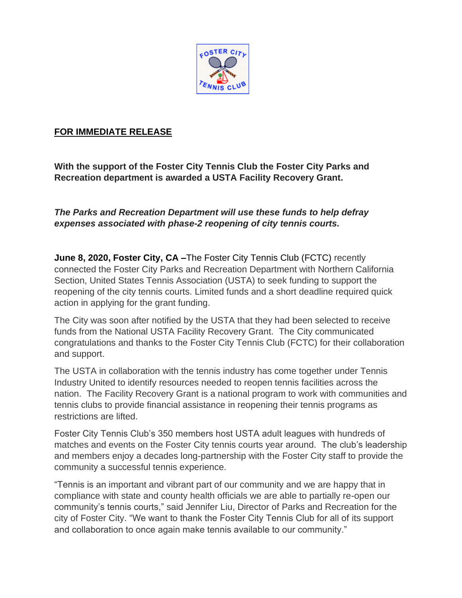

## **FOR IMMEDIATE RELEASE**

**With the support of the Foster City Tennis Club the Foster City Parks and Recreation department is awarded a USTA Facility Recovery Grant.**

*The Parks and Recreation Department will use these funds to help defray expenses associated with phase-2 reopening of city tennis courts.*

**June 8, 2020, Foster City, CA – The Foster City Tennis Club (FCTC) recently** connected the Foster City Parks and Recreation Department with Northern California Section, United States Tennis Association (USTA) to seek funding to support the reopening of the city tennis courts. Limited funds and a short deadline required quick action in applying for the grant funding.

The City was soon after notified by the USTA that they had been selected to receive funds from the National USTA Facility Recovery Grant. The City communicated congratulations and thanks to the Foster City Tennis Club (FCTC) for their collaboration and support.

The USTA in collaboration with the tennis industry has come together under Tennis Industry United to identify resources needed to reopen tennis facilities across the nation. The Facility Recovery Grant is a national program to work with communities and tennis clubs to provide financial assistance in reopening their tennis programs as restrictions are lifted.

Foster City Tennis Club's 350 members host USTA adult leagues with hundreds of matches and events on the Foster City tennis courts year around. The club's leadership and members enjoy a decades long-partnership with the Foster City staff to provide the community a successful tennis experience.

"Tennis is an important and vibrant part of our community and we are happy that in compliance with state and county health officials we are able to partially re-open our community's tennis courts," said Jennifer Liu, Director of Parks and Recreation for the city of Foster City. "We want to thank the Foster City Tennis Club for all of its support and collaboration to once again make tennis available to our community."